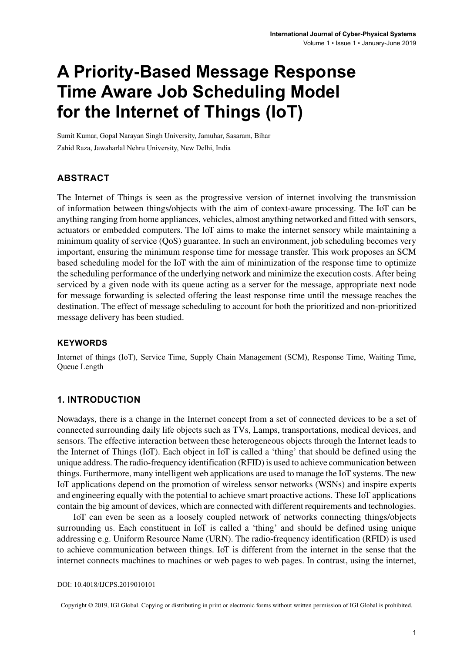# **A Priority-Based Message Response Time Aware Job Scheduling Model for the Internet of Things (IoT)**

Sumit Kumar, Gopal Narayan Singh University, Jamuhar, Sasaram, Bihar Zahid Raza, Jawaharlal Nehru University, New Delhi, India

#### **ABSTRACT**

The Internet of Things is seen as the progressive version of internet involving the transmission of information between things/objects with the aim of context-aware processing. The IoT can be anything ranging from home appliances, vehicles, almost anything networked and fitted with sensors, actuators or embedded computers. The IoT aims to make the internet sensory while maintaining a minimum quality of service (QoS) guarantee. In such an environment, job scheduling becomes very important, ensuring the minimum response time for message transfer. This work proposes an SCM based scheduling model for the IoT with the aim of minimization of the response time to optimize the scheduling performance of the underlying network and minimize the execution costs. After being serviced by a given node with its queue acting as a server for the message, appropriate next node for message forwarding is selected offering the least response time until the message reaches the destination. The effect of message scheduling to account for both the prioritized and non-prioritized message delivery has been studied.

#### **Keywords**

Internet of things (IoT), Service Time, Supply Chain Management (SCM), Response Time, Waiting Time, Queue Length

#### **1. INTRODUCTION**

Nowadays, there is a change in the Internet concept from a set of connected devices to be a set of connected surrounding daily life objects such as TVs, Lamps, transportations, medical devices, and sensors. The effective interaction between these heterogeneous objects through the Internet leads to the Internet of Things (IoT). Each object in IoT is called a 'thing' that should be defined using the unique address. The radio-frequency identification (RFID) is used to achieve communication between things. Furthermore, many intelligent web applications are used to manage the IoT systems. The new IoT applications depend on the promotion of wireless sensor networks (WSNs) and inspire experts and engineering equally with the potential to achieve smart proactive actions. These IoT applications contain the big amount of devices, which are connected with different requirements and technologies.

IoT can even be seen as a loosely coupled network of networks connecting things/objects surrounding us. Each constituent in IoT is called a 'thing' and should be defined using unique addressing e.g. Uniform Resource Name (URN). The radio-frequency identification (RFID) is used to achieve communication between things. IoT is different from the internet in the sense that the internet connects machines to machines or web pages to web pages. In contrast, using the internet,

DOI: 10.4018/IJCPS.2019010101

Copyright © 2019, IGI Global. Copying or distributing in print or electronic forms without written permission of IGI Global is prohibited.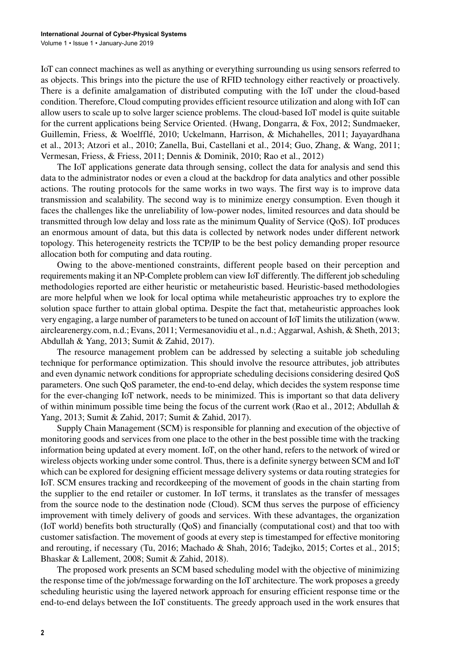IoT can connect machines as well as anything or everything surrounding us using sensors referred to as objects. This brings into the picture the use of RFID technology either reactively or proactively. There is a definite amalgamation of distributed computing with the IoT under the cloud-based condition. Therefore, Cloud computing provides efficient resource utilization and along with IoT can allow users to scale up to solve larger science problems. The cloud-based IoT model is quite suitable for the current applications being Service Oriented. (Hwang, Dongarra, & Fox, 2012; Sundmaeker, Guillemin, Friess, & Woelfflé, 2010; Uckelmann, Harrison, & Michahelles, 2011; Jayayardhana et al., 2013; Atzori et al., 2010; Zanella, Bui, Castellani et al., 2014; Guo, Zhang, & Wang, 2011; Vermesan, Friess, & Friess, 2011; Dennis & Dominik, 2010; Rao et al., 2012)

The IoT applications generate data through sensing, collect the data for analysis and send this data to the administrator nodes or even a cloud at the backdrop for data analytics and other possible actions. The routing protocols for the same works in two ways. The first way is to improve data transmission and scalability. The second way is to minimize energy consumption. Even though it faces the challenges like the unreliability of low-power nodes, limited resources and data should be transmitted through low delay and loss rate as the minimum Quality of Service (QoS). IoT produces an enormous amount of data, but this data is collected by network nodes under different network topology. This heterogeneity restricts the TCP/IP to be the best policy demanding proper resource allocation both for computing and data routing.

Owing to the above-mentioned constraints, different people based on their perception and requirements making it an NP-Complete problem can view IoT differently. The different job scheduling methodologies reported are either heuristic or metaheuristic based. Heuristic-based methodologies are more helpful when we look for local optima while metaheuristic approaches try to explore the solution space further to attain global optima. Despite the fact that, metaheuristic approaches look very engaging, a large number of parameters to be tuned on account of IoT limits the utilization (www. airclearenergy.com, n.d.; Evans, 2011; Vermesanovidiu et al., n.d.; Aggarwal, Ashish, & Sheth, 2013; Abdullah & Yang, 2013; Sumit & Zahid, 2017).

The resource management problem can be addressed by selecting a suitable job scheduling technique for performance optimization. This should involve the resource attributes, job attributes and even dynamic network conditions for appropriate scheduling decisions considering desired QoS parameters. One such QoS parameter, the end-to-end delay, which decides the system response time for the ever-changing IoT network, needs to be minimized. This is important so that data delivery of within minimum possible time being the focus of the current work (Rao et al., 2012; Abdullah  $\&$ Yang, 2013; Sumit & Zahid, 2017; Sumit & Zahid, 2017).

Supply Chain Management (SCM) is responsible for planning and execution of the objective of monitoring goods and services from one place to the other in the best possible time with the tracking information being updated at every moment. IoT, on the other hand, refers to the network of wired or wireless objects working under some control. Thus, there is a definite synergy between SCM and IoT which can be explored for designing efficient message delivery systems or data routing strategies for IoT. SCM ensures tracking and recordkeeping of the movement of goods in the chain starting from the supplier to the end retailer or customer. In IoT terms, it translates as the transfer of messages from the source node to the destination node (Cloud). SCM thus serves the purpose of efficiency improvement with timely delivery of goods and services. With these advantages, the organization (IoT world) benefits both structurally (QoS) and financially (computational cost) and that too with customer satisfaction. The movement of goods at every step is timestamped for effective monitoring and rerouting, if necessary (Tu, 2016; Machado & Shah, 2016; Tadejko, 2015; Cortes et al., 2015; Bhaskar & Lallement, 2008; Sumit & Zahid, 2018).

The proposed work presents an SCM based scheduling model with the objective of minimizing the response time of the job/message forwarding on the IoT architecture. The work proposes a greedy scheduling heuristic using the layered network approach for ensuring efficient response time or the end-to-end delays between the IoT constituents. The greedy approach used in the work ensures that